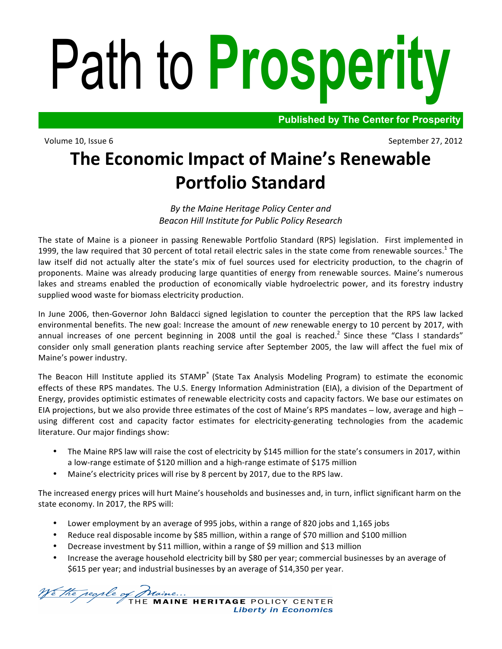# Path to **Prosperity**

**Published by The Center for Prosperity**

 Volume 10, Issue 6 September 27, 2012

## **The Economic Impact of Maine's Renewable Portfolio Standard**

By the Maine Heritage Policy Center and *Beacon Hill Institute for Public Policy Research*

The state of Maine is a pioneer in passing Renewable Portfolio Standard (RPS) legislation. First implemented in 1999, the law required that 30 percent of total retail electric sales in the state come from renewable sources.<sup>1</sup> The law itself did not actually alter the state's mix of fuel sources used for electricity production, to the chagrin of proponents. Maine was already producing large quantities of energy from renewable sources. Maine's numerous lakes and streams enabled the production of economically viable hydroelectric power, and its forestry industry supplied wood waste for biomass electricity production.

In June 2006, then-Governor John Baldacci signed legislation to counter the perception that the RPS law lacked environmental benefits. The new goal: Increase the amount of *new* renewable energy to 10 percent by 2017, with annual increases of one percent beginning in 2008 until the goal is reached.<sup>2</sup> Since these "Class I standards" consider only small generation plants reaching service after September 2005, the law will affect the fuel mix of Maine's power industry.

The Beacon Hill Institute applied its STAMP<sup>®</sup> (State Tax Analysis Modeling Program) to estimate the economic effects of these RPS mandates. The U.S. Energy Information Administration (EIA), a division of the Department of Energy, provides optimistic estimates of renewable electricity costs and capacity factors. We base our estimates on EIA projections, but we also provide three estimates of the cost of Maine's RPS mandates  $-$  low, average and high  $$ using different cost and capacity factor estimates for electricity-generating technologies from the academic literature. Our major findings show:

- The Maine RPS law will raise the cost of electricity by \$145 million for the state's consumers in 2017, within a low-range estimate of \$120 million and a high-range estimate of \$175 million
- Maine's electricity prices will rise by 8 percent by 2017, due to the RPS law.

The increased energy prices will hurt Maine's households and businesses and, in turn, inflict significant harm on the state economy. In 2017, the RPS will:

- Lower employment by an average of 995 jobs, within a range of 820 jobs and 1,165 jobs
- Reduce real disposable income by \$85 million, within a range of \$70 million and \$100 million
- Decrease investment by \$11 million, within a range of \$9 million and \$13 million
- Increase the average household electricity bill by \$80 per year; commercial businesses by an average of \$615 per year; and industrial businesses by an average of \$14,350 per year.

n a shekarar 1990.<br>Matukio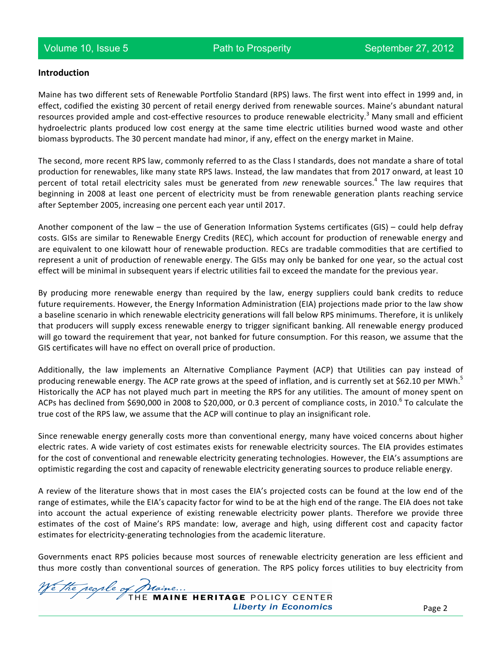#### **Introduction**

Maine has two different sets of Renewable Portfolio Standard (RPS) laws. The first went into effect in 1999 and, in effect, codified the existing 30 percent of retail energy derived from renewable sources. Maine's abundant natural resources provided ample and cost-effective resources to produce renewable electricity.<sup>3</sup> Many small and efficient hydroelectric plants produced low cost energy at the same time electric utilities burned wood waste and other biomass byproducts. The 30 percent mandate had minor, if any, effect on the energy market in Maine.

The second, more recent RPS law, commonly referred to as the Class I standards, does not mandate a share of total production for renewables, like many state RPS laws. Instead, the law mandates that from 2017 onward, at least 10 percent of total retail electricity sales must be generated from *new* renewable sources.<sup>4</sup> The law requires that beginning in 2008 at least one percent of electricity must be from renewable generation plants reaching service after September 2005, increasing one percent each year until 2017.

Another component of the law – the use of Generation Information Systems certificates (GIS) – could help defray costs. GISs are similar to Renewable Energy Credits (REC), which account for production of renewable energy and are equivalent to one kilowatt hour of renewable production. RECs are tradable commodities that are certified to represent a unit of production of renewable energy. The GISs may only be banked for one year, so the actual cost effect will be minimal in subsequent years if electric utilities fail to exceed the mandate for the previous year.

By producing more renewable energy than required by the law, energy suppliers could bank credits to reduce future requirements. However, the Energy Information Administration (EIA) projections made prior to the law show a baseline scenario in which renewable electricity generations will fall below RPS minimums. Therefore, it is unlikely that producers will supply excess renewable energy to trigger significant banking. All renewable energy produced will go toward the requirement that year, not banked for future consumption. For this reason, we assume that the GIS certificates will have no effect on overall price of production.

Additionally, the law implements an Alternative Compliance Payment (ACP) that Utilities can pay instead of producing renewable energy. The ACP rate grows at the speed of inflation, and is currently set at \$62.10 per MWh.<sup>5</sup> Historically the ACP has not played much part in meeting the RPS for any utilities. The amount of money spent on ACPs has declined from \$690,000 in 2008 to \$20,000, or 0.3 percent of compliance costs, in 2010.<sup>6</sup> To calculate the true cost of the RPS law, we assume that the ACP will continue to play an insignificant role.

Since renewable energy generally costs more than conventional energy, many have voiced concerns about higher electric rates. A wide variety of cost estimates exists for renewable electricity sources. The EIA provides estimates for the cost of conventional and renewable electricity generating technologies. However, the EIA's assumptions are optimistic regarding the cost and capacity of renewable electricity generating sources to produce reliable energy.

A review of the literature shows that in most cases the EIA's projected costs can be found at the low end of the range of estimates, while the EIA's capacity factor for wind to be at the high end of the range. The EIA does not take into account the actual experience of existing renewable electricity power plants. Therefore we provide three estimates of the cost of Maine's RPS mandate: low, average and high, using different cost and capacity factor estimates for electricity-generating technologies from the academic literature.

Governments enact RPS policies because most sources of renewable electricity generation are less efficient and thus more costly than conventional sources of generation. The RPS policy forces utilities to buy electricity from

We the people of Praine...<br>THE MAINE HERITAGE POLICY CENTER **Liberty in Economics**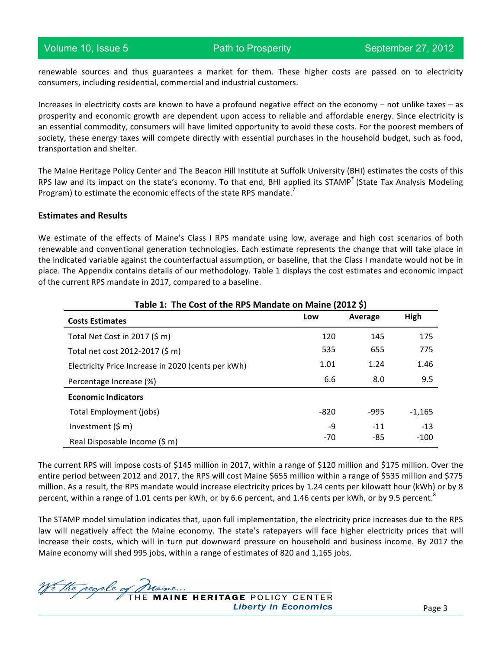renewable sources and thus guarantees a market for them. These higher costs are passed on to electricity consumers, including residential, commercial and industrial customers.

Increases in electricity costs are known to have a profound negative effect on the economy – not unlike taxes – as prosperity and economic growth are dependent upon access to reliable and affordable energy. Since electricity is an essential commodity, consumers will have limited opportunity to avoid these costs. For the poorest members of society, these energy taxes will compete directly with essential purchases in the household budget, such as food, transportation and shelter.

The Maine Heritage Policy Center and The Beacon Hill Institute at Suffolk University (BHI) estimates the costs of this RPS law and its impact on the state's economy. To that end, BHI applied its STAMP® (State Tax Analysis Modeling Program) to estimate the economic effects of the state RPS mandate.<sup>7</sup>

#### **Estimates and Results**

We estimate of the effects of Maine's Class I RPS mandate using low, average and high cost scenarios of both renewable and conventional generation technologies. Each estimate represents the change that will take place in the indicated variable against the counterfactual assumption, or baseline, that the Class I mandate would not be in place. The Appendix contains details of our methodology. Table 1 displays the cost estimates and economic impact of the current RPS mandate in 2017, compared to a baseline.

| Table 1: The Cost of the RPS Mandate on Maine (2012 \$) |        |         |          |  |  |  |  |
|---------------------------------------------------------|--------|---------|----------|--|--|--|--|
| <b>Costs Estimates</b>                                  | Low    | Average | High     |  |  |  |  |
| Total Net Cost in 2017 $(5 \text{ m})$                  | 120    | 145     | 175      |  |  |  |  |
| Total net cost 2012-2017 (\$ m)                         | 535    | 655     | 775      |  |  |  |  |
| Electricity Price Increase in 2020 (cents per kWh)      | 1.01   | 1.24    | 1.46     |  |  |  |  |
| Percentage Increase (%)                                 | 6.6    | 8.0     | 9.5      |  |  |  |  |
| <b>Economic Indicators</b>                              |        |         |          |  |  |  |  |
| Total Employment (jobs)                                 | $-820$ | -995    | $-1,165$ |  |  |  |  |
| Investment $(\xi m)$                                    | -9     | $-11$   | $-13$    |  |  |  |  |
| Real Disposable Income (\$ m)                           | $-70$  | -85     | $-100$   |  |  |  |  |

The current RPS will impose costs of \$145 million in 2017, within a range of \$120 million and \$175 million. Over the entire period between 2012 and 2017, the RPS will cost Maine \$655 million within a range of \$535 million and \$775 million. As a result, the RPS mandate would increase electricity prices by 1.24 cents per kilowatt hour (kWh) or by 8 percent, within a range of 1.01 cents per kWh, or by 6.6 percent, and 1.46 cents per kWh, or by 9.5 percent.<sup>8</sup>

The STAMP model simulation indicates that, upon full implementation, the electricity price increases due to the RPS law will negatively affect the Maine economy. The state's ratepayers will face higher electricity prices that will increase their costs, which will in turn put downward pressure on household and business income. By 2017 the Maine economy will shed 995 jobs, within a range of estimates of 820 and 1,165 jobs.

We the people of Plaine...<br>THE MAINE HERITAGE POLICY CENTER **Liberty in Economics**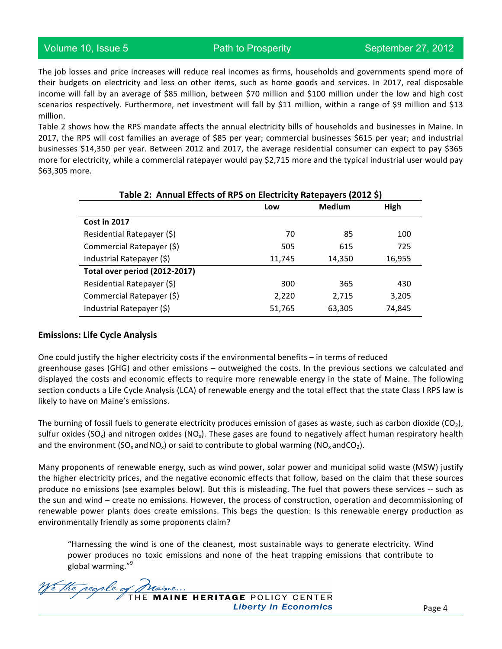The job losses and price increases will reduce real incomes as firms, households and governments spend more of their budgets on electricity and less on other items, such as home goods and services. In 2017, real disposable income will fall by an average of \$85 million, between \$70 million and \$100 million under the low and high cost scenarios respectively. Furthermore, net investment will fall by \$11 million, within a range of \$9 million and \$13 million.

Table 2 shows how the RPS mandate affects the annual electricity bills of households and businesses in Maine. In 2017, the RPS will cost families an average of \$85 per year; commercial businesses \$615 per year; and industrial businesses \$14,350 per year. Between 2012 and 2017, the average residential consumer can expect to pay \$365 more for electricity, while a commercial ratepayer would pay \$2,715 more and the typical industrial user would pay \$63,305 more.

| Table 2: Annual Effects of RPS on Electricity Ratepayers (2012 \$) |                              |        |        |  |  |  |  |  |  |
|--------------------------------------------------------------------|------------------------------|--------|--------|--|--|--|--|--|--|
|                                                                    | <b>Medium</b><br>High<br>Low |        |        |  |  |  |  |  |  |
| <b>Cost in 2017</b>                                                |                              |        |        |  |  |  |  |  |  |
| Residential Ratepayer (\$)                                         | 70                           | 85     | 100    |  |  |  |  |  |  |
| Commercial Ratepayer (\$)                                          | 505                          | 615    | 725    |  |  |  |  |  |  |
| Industrial Ratepayer (\$)                                          | 11,745                       | 14,350 | 16,955 |  |  |  |  |  |  |
| Total over period (2012-2017)                                      |                              |        |        |  |  |  |  |  |  |
| Residential Ratepayer (\$)                                         | 300                          | 365    | 430    |  |  |  |  |  |  |
| Commercial Ratepayer (\$)                                          | 2,220                        | 2,715  | 3,205  |  |  |  |  |  |  |
| Industrial Ratepayer (\$)                                          | 51,765                       | 63,305 | 74,845 |  |  |  |  |  |  |

#### **Emissions: Life Cycle Analysis**

One could justify the higher electricity costs if the environmental benefits  $-$  in terms of reduced greenhouse gases (GHG) and other emissions – outweighed the costs. In the previous sections we calculated and displayed the costs and economic effects to require more renewable energy in the state of Maine. The following section conducts a Life Cycle Analysis (LCA) of renewable energy and the total effect that the state Class I RPS law is likely to have on Maine's emissions.

The burning of fossil fuels to generate electricity produces emission of gases as waste, such as carbon dioxide  $(CO_2)$ , sulfur oxides  $(SO_x)$  and nitrogen oxides  $(NO_x)$ . These gases are found to negatively affect human respiratory health and the environment (SO<sub>x</sub> and NO<sub>x</sub>) or said to contribute to global warming (NO<sub>x</sub> andCO<sub>2</sub>).

Many proponents of renewable energy, such as wind power, solar power and municipal solid waste (MSW) justify the higher electricity prices, and the negative economic effects that follow, based on the claim that these sources produce no emissions (see examples below). But this is misleading. The fuel that powers these services -- such as the sun and wind – create no emissions. However, the process of construction, operation and decommissioning of renewable power plants does create emissions. This begs the question: Is this renewable energy production as environmentally friendly as some proponents claim?

"Harnessing the wind is one of the cleanest, most sustainable ways to generate electricity. Wind power produces no toxic emissions and none of the heat trapping emissions that contribute to global warming."<sup>9</sup>

We the people of Praine...<br>THE MAINE HERITAGE POLICY CENTER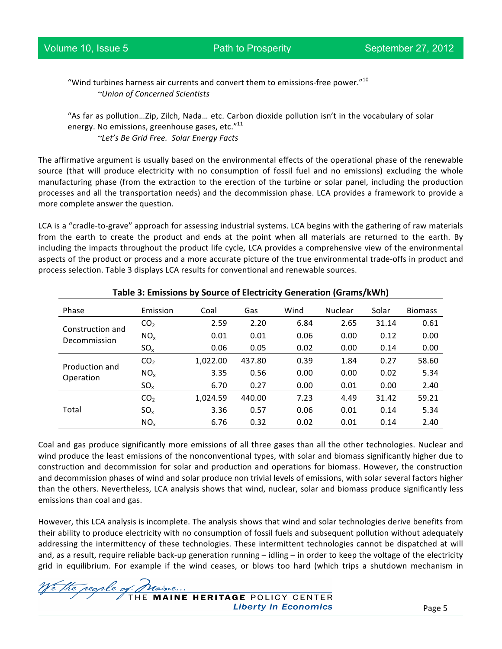"Wind turbines harness air currents and convert them to emissions-free power." $^{10}$ *~Union of Concerned Scientists*

"As far as pollution...Zip, Zilch, Nada... etc. Carbon dioxide pollution isn't in the vocabulary of solar energy. No emissions, greenhouse gases, etc."<sup>11</sup> *~Let's Be Grid Free. Solar Energy Facts*

The affirmative argument is usually based on the environmental effects of the operational phase of the renewable source (that will produce electricity with no consumption of fossil fuel and no emissions) excluding the whole manufacturing phase (from the extraction to the erection of the turbine or solar panel, including the production processes and all the transportation needs) and the decommission phase. LCA provides a framework to provide a more complete answer the question.

LCA is a "cradle-to-grave" approach for assessing industrial systems. LCA begins with the gathering of raw materials from the earth to create the product and ends at the point when all materials are returned to the earth. By including the impacts throughout the product life cycle, LCA provides a comprehensive view of the environmental aspects of the product or process and a more accurate picture of the true environmental trade-offs in product and process selection. Table 3 displays LCA results for conventional and renewable sources.

| Phase                       | Emission        | Coal     | Gas    | Wind | Nuclear | Solar | <b>Biomass</b> |
|-----------------------------|-----------------|----------|--------|------|---------|-------|----------------|
| Construction and            | CO <sub>2</sub> | 2.59     | 2.20   | 6.84 | 2.65    | 31.14 | 0.61           |
| Decommission                | NO <sub>x</sub> | 0.01     | 0.01   | 0.06 | 0.00    | 0.12  | 0.00           |
|                             | SO <sub>x</sub> | 0.06     | 0.05   | 0.02 | 0.00    | 0.14  | 0.00           |
|                             | CO <sub>2</sub> | 1,022.00 | 437.80 | 0.39 | 1.84    | 0.27  | 58.60          |
| Production and<br>Operation | NO <sub>x</sub> | 3.35     | 0.56   | 0.00 | 0.00    | 0.02  | 5.34           |
|                             | SO <sub>x</sub> | 6.70     | 0.27   | 0.00 | 0.01    | 0.00  | 2.40           |
|                             | CO <sub>2</sub> | 1,024.59 | 440.00 | 7.23 | 4.49    | 31.42 | 59.21          |
| Total                       | SO <sub>x</sub> | 3.36     | 0.57   | 0.06 | 0.01    | 0.14  | 5.34           |
|                             | NO <sub>x</sub> | 6.76     | 0.32   | 0.02 | 0.01    | 0.14  | 2.40           |

#### **Table 3: Emissions by Source of Electricity Generation (Grams/kWh)**

Coal and gas produce significantly more emissions of all three gases than all the other technologies. Nuclear and wind produce the least emissions of the nonconventional types, with solar and biomass significantly higher due to construction and decommission for solar and production and operations for biomass. However, the construction and decommission phases of wind and solar produce non trivial levels of emissions, with solar several factors higher than the others. Nevertheless, LCA analysis shows that wind, nuclear, solar and biomass produce significantly less emissions than coal and gas.

However, this LCA analysis is incomplete. The analysis shows that wind and solar technologies derive benefits from their ability to produce electricity with no consumption of fossil fuels and subsequent pollution without adequately addressing the intermittency of these technologies. These intermittent technologies cannot be dispatched at will and, as a result, require reliable back-up generation running – idling – in order to keep the voltage of the electricity grid in equilibrium. For example if the wind ceases, or blows too hard (which trips a shutdown mechanism in

We the people of Maine...<br>THE MAINE HERITAGE POLICY CENTER

**Liberty in Economics**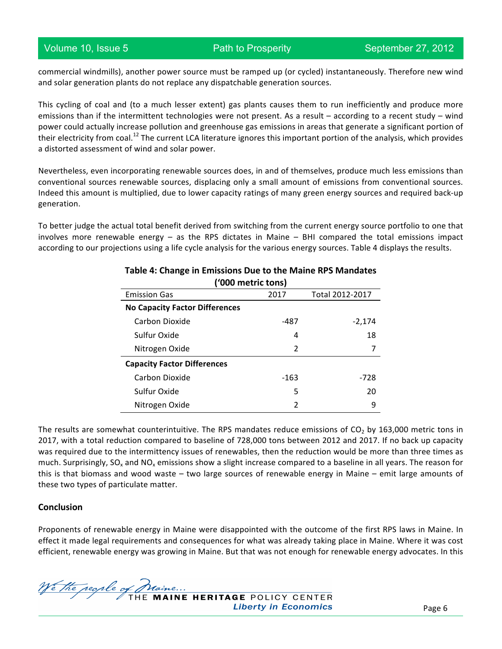commercial windmills), another power source must be ramped up (or cycled) instantaneously. Therefore new wind and solar generation plants do not replace any dispatchable generation sources.

This cycling of coal and (to a much lesser extent) gas plants causes them to run inefficiently and produce more emissions than if the intermittent technologies were not present. As a result – according to a recent study – wind power could actually increase pollution and greenhouse gas emissions in areas that generate a significant portion of their electricity from coal.<sup>12</sup> The current LCA literature ignores this important portion of the analysis, which provides a distorted assessment of wind and solar power.

Nevertheless, even incorporating renewable sources does, in and of themselves, produce much less emissions than conventional sources renewable sources, displacing only a small amount of emissions from conventional sources. Indeed this amount is multiplied, due to lower capacity ratings of many green energy sources and required back-up generation.

To better judge the actual total benefit derived from switching from the current energy source portfolio to one that involves more renewable energy  $-$  as the RPS dictates in Maine  $-$  BHI compared the total emissions impact according to our projections using a life cycle analysis for the various energy sources. Table 4 displays the results.

| ('000 metric tons)                    |        |                 |  |  |  |  |
|---------------------------------------|--------|-----------------|--|--|--|--|
| <b>Emission Gas</b>                   | 2017   | Total 2012-2017 |  |  |  |  |
| <b>No Capacity Factor Differences</b> |        |                 |  |  |  |  |
| Carbon Dioxide                        | -487   | $-2,174$        |  |  |  |  |
| Sulfur Oxide                          | 4      | 18              |  |  |  |  |
| Nitrogen Oxide                        | 2      |                 |  |  |  |  |
| <b>Capacity Factor Differences</b>    |        |                 |  |  |  |  |
| Carbon Dioxide                        | $-163$ | -728            |  |  |  |  |
| Sulfur Oxide                          | 5      | 20              |  |  |  |  |
| Nitrogen Oxide                        | 2      | 9               |  |  |  |  |

### **Table 4: Change in Emissions Due to the Maine RPS Mandates**

The results are somewhat counterintuitive. The RPS mandates reduce emissions of  $CO<sub>2</sub>$  by 163,000 metric tons in 2017, with a total reduction compared to baseline of 728,000 tons between 2012 and 2017. If no back up capacity was required due to the intermittency issues of renewables, then the reduction would be more than three times as much. Surprisingly, SO<sub>x</sub> and NO<sub>x</sub> emissions show a slight increase compared to a baseline in all years. The reason for this is that biomass and wood waste  $-$  two large sources of renewable energy in Maine  $-$  emit large amounts of these two types of particulate matter.

#### **Conclusion**

Proponents of renewable energy in Maine were disappointed with the outcome of the first RPS laws in Maine. In effect it made legal requirements and consequences for what was already taking place in Maine. Where it was cost efficient, renewable energy was growing in Maine. But that was not enough for renewable energy advocates. In this

We the people of Maine...<br>THE MAINE HERITAGE POLICY CENTER **Liberty in Economics**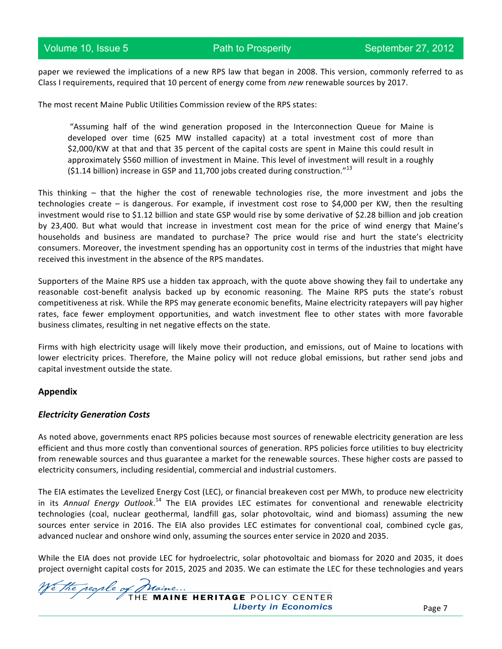paper we reviewed the implications of a new RPS law that began in 2008. This version, commonly referred to as Class I requirements, required that 10 percent of energy come from *new* renewable sources by 2017.

The most recent Maine Public Utilities Commission review of the RPS states:

"Assuming half of the wind generation proposed in the Interconnection Queue for Maine is developed over time (625 MW installed capacity) at a total investment cost of more than \$2,000/KW at that and that 35 percent of the capital costs are spent in Maine this could result in approximately \$560 million of investment in Maine. This level of investment will result in a roughly  $(51.14$  billion) increase in GSP and 11,700 jobs created during construction."<sup>13</sup>

This thinking - that the higher the cost of renewable technologies rise, the more investment and jobs the technologies create  $-$  is dangerous. For example, if investment cost rose to \$4,000 per KW, then the resulting investment would rise to \$1.12 billion and state GSP would rise by some derivative of \$2.28 billion and job creation by 23,400. But what would that increase in investment cost mean for the price of wind energy that Maine's households and business are mandated to purchase? The price would rise and hurt the state's electricity consumers. Moreover, the investment spending has an opportunity cost in terms of the industries that might have received this investment in the absence of the RPS mandates.

Supporters of the Maine RPS use a hidden tax approach, with the quote above showing they fail to undertake any reasonable cost-benefit analysis backed up by economic reasoning. The Maine RPS puts the state's robust competitiveness at risk. While the RPS may generate economic benefits, Maine electricity ratepayers will pay higher rates, face fewer employment opportunities, and watch investment flee to other states with more favorable business climates, resulting in net negative effects on the state.

Firms with high electricity usage will likely move their production, and emissions, out of Maine to locations with lower electricity prices. Therefore, the Maine policy will not reduce global emissions, but rather send jobs and capital investment outside the state.

#### **Appendix**

#### *Electricity Generation Costs*

As noted above, governments enact RPS policies because most sources of renewable electricity generation are less efficient and thus more costly than conventional sources of generation. RPS policies force utilities to buy electricity from renewable sources and thus guarantee a market for the renewable sources. These higher costs are passed to electricity consumers, including residential, commercial and industrial customers.

The EIA estimates the Levelized Energy Cost (LEC), or financial breakeven cost per MWh, to produce new electricity in its Annual Energy Outlook.<sup>14</sup> The EIA provides LEC estimates for conventional and renewable electricity technologies (coal, nuclear geothermal, landfill gas, solar photovoltaic, wind and biomass) assuming the new sources enter service in 2016. The EIA also provides LEC estimates for conventional coal, combined cycle gas, advanced nuclear and onshore wind only, assuming the sources enter service in 2020 and 2035.

While the EIA does not provide LEC for hydroelectric, solar photovoltaic and biomass for 2020 and 2035, it does project overnight capital costs for 2015, 2025 and 2035. We can estimate the LEC for these technologies and years

We the people of Praine...<br>THE MAINE HERITAGE POLICY CENTER **Liberty in Economics**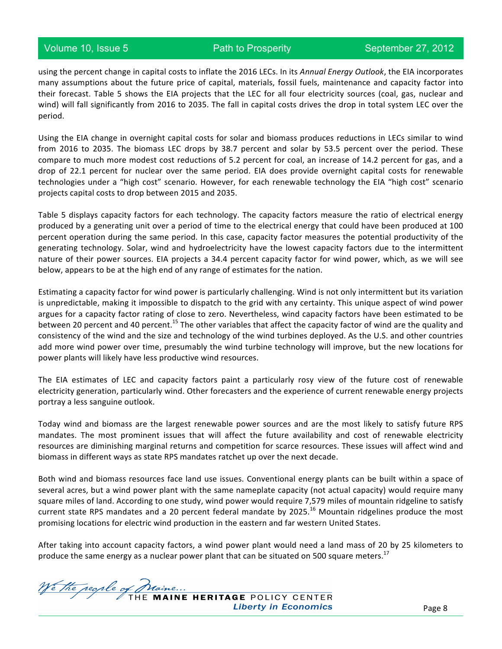using the percent change in capital costs to inflate the 2016 LECs. In its *Annual Energy Outlook*, the EIA incorporates many assumptions about the future price of capital, materials, fossil fuels, maintenance and capacity factor into their forecast. Table 5 shows the EIA projects that the LEC for all four electricity sources (coal, gas, nuclear and wind) will fall significantly from 2016 to 2035. The fall in capital costs drives the drop in total system LEC over the period.

Using the EIA change in overnight capital costs for solar and biomass produces reductions in LECs similar to wind from 2016 to 2035. The biomass LEC drops by 38.7 percent and solar by 53.5 percent over the period. These compare to much more modest cost reductions of 5.2 percent for coal, an increase of 14.2 percent for gas, and a drop of 22.1 percent for nuclear over the same period. EIA does provide overnight capital costs for renewable technologies under a "high cost" scenario. However, for each renewable technology the EIA "high cost" scenario projects capital costs to drop between 2015 and 2035.

Table 5 displays capacity factors for each technology. The capacity factors measure the ratio of electrical energy produced by a generating unit over a period of time to the electrical energy that could have been produced at 100 percent operation during the same period. In this case, capacity factor measures the potential productivity of the generating technology. Solar, wind and hydroelectricity have the lowest capacity factors due to the intermittent nature of their power sources. EIA projects a 34.4 percent capacity factor for wind power, which, as we will see below, appears to be at the high end of any range of estimates for the nation.

Estimating a capacity factor for wind power is particularly challenging. Wind is not only intermittent but its variation is unpredictable, making it impossible to dispatch to the grid with any certainty. This unique aspect of wind power argues for a capacity factor rating of close to zero. Nevertheless, wind capacity factors have been estimated to be between 20 percent and 40 percent.<sup>15</sup> The other variables that affect the capacity factor of wind are the quality and consistency of the wind and the size and technology of the wind turbines deployed. As the U.S. and other countries add more wind power over time, presumably the wind turbine technology will improve, but the new locations for power plants will likely have less productive wind resources.

The EIA estimates of LEC and capacity factors paint a particularly rosy view of the future cost of renewable electricity generation, particularly wind. Other forecasters and the experience of current renewable energy projects portray a less sanguine outlook.

Today wind and biomass are the largest renewable power sources and are the most likely to satisfy future RPS mandates. The most prominent issues that will affect the future availability and cost of renewable electricity resources are diminishing marginal returns and competition for scarce resources. These issues will affect wind and biomass in different ways as state RPS mandates ratchet up over the next decade.

Both wind and biomass resources face land use issues. Conventional energy plants can be built within a space of several acres, but a wind power plant with the same nameplate capacity (not actual capacity) would require many square miles of land. According to one study, wind power would require 7,579 miles of mountain ridgeline to satisfy current state RPS mandates and a 20 percent federal mandate by 2025.<sup>16</sup> Mountain ridgelines produce the most promising locations for electric wind production in the eastern and far western United States.

After taking into account capacity factors, a wind power plant would need a land mass of 20 by 25 kilometers to produce the same energy as a nuclear power plant that can be situated on 500 square meters.<sup>17</sup>

We the reople of Maine...<br>THE MAINE HERITAGE POLICY CENTER **Liberty in Economics**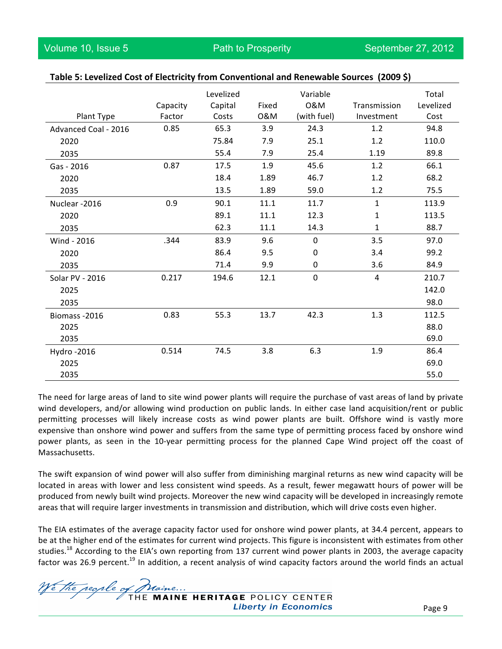|                      |          | Levelized |       | Variable    |              | Total     |
|----------------------|----------|-----------|-------|-------------|--------------|-----------|
|                      | Capacity | Capital   | Fixed | 0&M         | Transmission | Levelized |
| Plant Type           | Factor   | Costs     | 0&M   | (with fuel) | Investment   | Cost      |
| Advanced Coal - 2016 | 0.85     | 65.3      | 3.9   | 24.3        | 1.2          | 94.8      |
| 2020                 |          | 75.84     | 7.9   | 25.1        | 1.2          | 110.0     |
| 2035                 |          | 55.4      | 7.9   | 25.4        | 1.19         | 89.8      |
| Gas - 2016           | 0.87     | 17.5      | 1.9   | 45.6        | 1.2          | 66.1      |
| 2020                 |          | 18.4      | 1.89  | 46.7        | 1.2          | 68.2      |
| 2035                 |          | 13.5      | 1.89  | 59.0        | 1.2          | 75.5      |
| Nuclear -2016        | 0.9      | 90.1      | 11.1  | 11.7        | $\mathbf 1$  | 113.9     |
| 2020                 |          | 89.1      | 11.1  | 12.3        | $\mathbf{1}$ | 113.5     |
| 2035                 |          | 62.3      | 11.1  | 14.3        | $\mathbf{1}$ | 88.7      |
| Wind - 2016          | .344     | 83.9      | 9.6   | $\mathbf 0$ | 3.5          | 97.0      |
| 2020                 |          | 86.4      | 9.5   | $\mathbf 0$ | 3.4          | 99.2      |
| 2035                 |          | 71.4      | 9.9   | 0           | 3.6          | 84.9      |
| Solar PV - 2016      | 0.217    | 194.6     | 12.1  | $\mathbf 0$ | 4            | 210.7     |
| 2025                 |          |           |       |             |              | 142.0     |
| 2035                 |          |           |       |             |              | 98.0      |
| Biomass-2016         | 0.83     | 55.3      | 13.7  | 42.3        | 1.3          | 112.5     |
| 2025                 |          |           |       |             |              | 88.0      |
| 2035                 |          |           |       |             |              | 69.0      |
| Hydro -2016          | 0.514    | 74.5      | 3.8   | 6.3         | 1.9          | 86.4      |
| 2025                 |          |           |       |             |              | 69.0      |
| 2035                 |          |           |       |             |              | 55.0      |

#### Table 5: Levelized Cost of Electricity from Conventional and Renewable Sources (2009 \$)

The need for large areas of land to site wind power plants will require the purchase of vast areas of land by private wind developers, and/or allowing wind production on public lands. In either case land acquisition/rent or public permitting processes will likely increase costs as wind power plants are built. Offshore wind is vastly more expensive than onshore wind power and suffers from the same type of permitting process faced by onshore wind power plants, as seen in the 10-year permitting process for the planned Cape Wind project off the coast of Massachusetts.

The swift expansion of wind power will also suffer from diminishing marginal returns as new wind capacity will be located in areas with lower and less consistent wind speeds. As a result, fewer megawatt hours of power will be produced from newly built wind projects. Moreover the new wind capacity will be developed in increasingly remote areas that will require larger investments in transmission and distribution, which will drive costs even higher.

The EIA estimates of the average capacity factor used for onshore wind power plants, at 34.4 percent, appears to be at the higher end of the estimates for current wind projects. This figure is inconsistent with estimates from other studies.<sup>18</sup> According to the EIA's own reporting from 137 current wind power plants in 2003, the average capacity factor was 26.9 percent.<sup>19</sup> In addition, a recent analysis of wind capacity factors around the world finds an actual

We the people of Maine...<br>THE MAINE HERITAGE POLICY CENTER

**Liberty in Economics**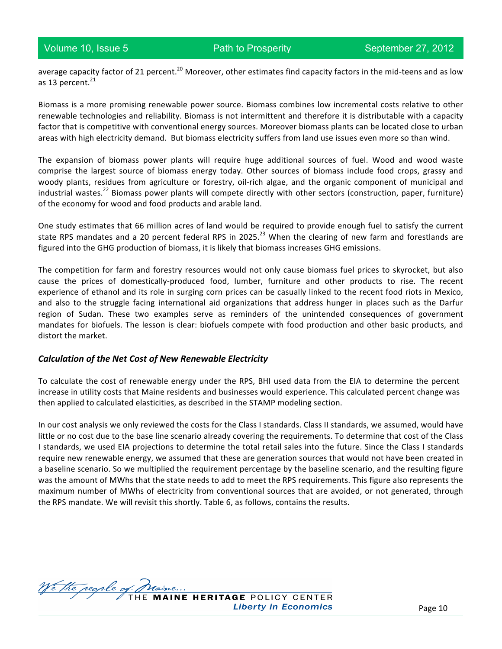average capacity factor of 21 percent.<sup>20</sup> Moreover, other estimates find capacity factors in the mid-teens and as low as 13 percent. $^{21}$ 

Biomass is a more promising renewable power source. Biomass combines low incremental costs relative to other renewable technologies and reliability. Biomass is not intermittent and therefore it is distributable with a capacity factor that is competitive with conventional energy sources. Moreover biomass plants can be located close to urban areas with high electricity demand. But biomass electricity suffers from land use issues even more so than wind.

The expansion of biomass power plants will require huge additional sources of fuel. Wood and wood waste comprise the largest source of biomass energy today. Other sources of biomass include food crops, grassy and woody plants, residues from agriculture or forestry, oil-rich algae, and the organic component of municipal and industrial wastes.<sup>22</sup> Biomass power plants will compete directly with other sectors (construction, paper, furniture) of the economy for wood and food products and arable land.

One study estimates that 66 million acres of land would be required to provide enough fuel to satisfy the current state RPS mandates and a 20 percent federal RPS in 2025.<sup>23</sup> When the clearing of new farm and forestlands are figured into the GHG production of biomass, it is likely that biomass increases GHG emissions.

The competition for farm and forestry resources would not only cause biomass fuel prices to skyrocket, but also cause the prices of domestically-produced food, lumber, furniture and other products to rise. The recent experience of ethanol and its role in surging corn prices can be casually linked to the recent food riots in Mexico, and also to the struggle facing international aid organizations that address hunger in places such as the Darfur region of Sudan. These two examples serve as reminders of the unintended consequences of government mandates for biofuels. The lesson is clear: biofuels compete with food production and other basic products, and distort the market.

#### *Calculation of the Net Cost of New Renewable Electricity*

To calculate the cost of renewable energy under the RPS, BHI used data from the EIA to determine the percent increase in utility costs that Maine residents and businesses would experience. This calculated percent change was then applied to calculated elasticities, as described in the STAMP modeling section.

In our cost analysis we only reviewed the costs for the Class I standards. Class II standards, we assumed, would have little or no cost due to the base line scenario already covering the requirements. To determine that cost of the Class I standards, we used EIA projections to determine the total retail sales into the future. Since the Class I standards require new renewable energy, we assumed that these are generation sources that would not have been created in a baseline scenario. So we multiplied the requirement percentage by the baseline scenario, and the resulting figure was the amount of MWhs that the state needs to add to meet the RPS requirements. This figure also represents the maximum number of MWhs of electricity from conventional sources that are avoided, or not generated, through the RPS mandate. We will revisit this shortly. Table 6, as follows, contains the results.

We the people of Maine...<br>THE MAINE HERITAGE POLICY CENTER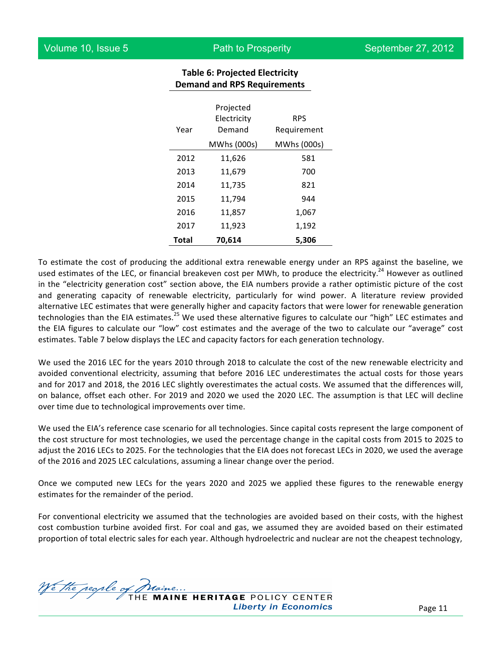| semana ana ni s negan ements |                          |                    |  |  |  |  |
|------------------------------|--------------------------|--------------------|--|--|--|--|
|                              | Projected<br>Electricity | <b>RPS</b>         |  |  |  |  |
| Year                         | Demand                   | Requirement        |  |  |  |  |
|                              | MWhs (000s)              | <b>MWhs (000s)</b> |  |  |  |  |
| 2012                         | 11,626                   | 581                |  |  |  |  |
| 2013                         | 11,679                   | 700                |  |  |  |  |
| 2014                         | 11,735                   | 821                |  |  |  |  |
| 2015                         | 11,794                   | 944                |  |  |  |  |
| 2016                         | 11,857                   | 1,067              |  |  |  |  |
| 2017                         | 11,923                   | 1,192              |  |  |  |  |
| Total                        | 70,614                   | 5.306              |  |  |  |  |

#### **Table 6: Projected Electricity Demand and RPS Requirements**

To estimate the cost of producing the additional extra renewable energy under an RPS against the baseline, we used estimates of the LEC, or financial breakeven cost per MWh, to produce the electricity.<sup>24</sup> However as outlined in the "electricity generation cost" section above, the EIA numbers provide a rather optimistic picture of the cost and generating capacity of renewable electricity, particularly for wind power. A literature review provided alternative LEC estimates that were generally higher and capacity factors that were lower for renewable generation technologies than the EIA estimates.<sup>25</sup> We used these alternative figures to calculate our "high" LEC estimates and the EIA figures to calculate our "low" cost estimates and the average of the two to calculate our "average" cost estimates. Table 7 below displays the LEC and capacity factors for each generation technology.

We used the 2016 LEC for the years 2010 through 2018 to calculate the cost of the new renewable electricity and avoided conventional electricity, assuming that before 2016 LEC underestimates the actual costs for those years and for 2017 and 2018, the 2016 LEC slightly overestimates the actual costs. We assumed that the differences will, on balance, offset each other. For 2019 and 2020 we used the 2020 LEC. The assumption is that LEC will decline over time due to technological improvements over time.

We used the EIA's reference case scenario for all technologies. Since capital costs represent the large component of the cost structure for most technologies, we used the percentage change in the capital costs from 2015 to 2025 to adjust the 2016 LECs to 2025. For the technologies that the EIA does not forecast LECs in 2020, we used the average of the 2016 and 2025 LEC calculations, assuming a linear change over the period.

Once we computed new LECs for the years 2020 and 2025 we applied these figures to the renewable energy estimates for the remainder of the period.

For conventional electricity we assumed that the technologies are avoided based on their costs, with the highest cost combustion turbine avoided first. For coal and gas, we assumed they are avoided based on their estimated proportion of total electric sales for each year. Although hydroelectric and nuclear are not the cheapest technology,

We the people of Plaine...<br>THE MAINE HERITAGE POLICY CENTER **Liberty in Economics**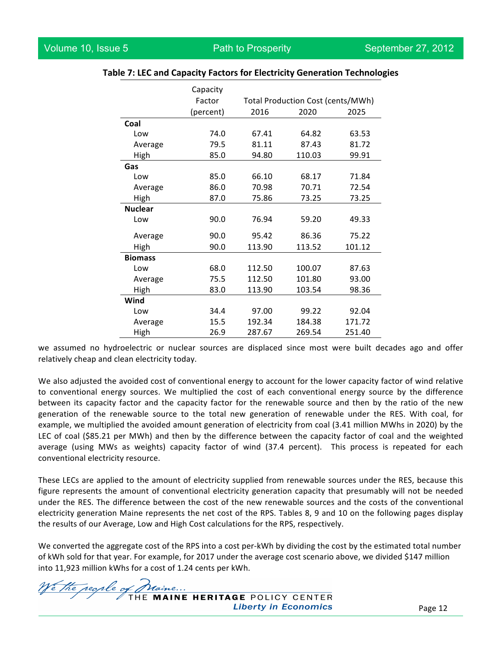|                | Capacity  |        |                                   |        |
|----------------|-----------|--------|-----------------------------------|--------|
|                | Factor    |        | Total Production Cost (cents/MWh) |        |
|                | (percent) | 2016   | 2020                              | 2025   |
| Coal           |           |        |                                   |        |
| Low            | 74.0      | 67.41  | 64.82                             | 63.53  |
| Average        | 79.5      | 81.11  | 87.43                             | 81.72  |
| High           | 85.0      | 94.80  | 110.03                            | 99.91  |
| Gas            |           |        |                                   |        |
| Low            | 85.0      | 66.10  | 68.17                             | 71.84  |
| Average        | 86.0      | 70.98  | 70.71                             | 72.54  |
| High           | 87.0      | 75.86  | 73.25                             | 73.25  |
| <b>Nuclear</b> |           |        |                                   |        |
| Low            | 90.0      | 76.94  | 59.20                             | 49.33  |
| Average        | 90.0      | 95.42  | 86.36                             | 75.22  |
| High           | 90.0      | 113.90 | 113.52                            | 101.12 |
| <b>Biomass</b> |           |        |                                   |        |
| Low            | 68.0      | 112.50 | 100.07                            | 87.63  |
| Average        | 75.5      | 112.50 | 101.80                            | 93.00  |
| High           | 83.0      | 113.90 | 103.54                            | 98.36  |
| Wind           |           |        |                                   |        |
| Low            | 34.4      | 97.00  | 99.22                             | 92.04  |
| Average        | 15.5      | 192.34 | 184.38                            | 171.72 |
| High           | 26.9      | 287.67 | 269.54                            | 251.40 |

#### **Table 7: LEC and Capacity Factors for Electricity Generation Technologies**

we assumed no hydroelectric or nuclear sources are displaced since most were built decades ago and offer relatively cheap and clean electricity today.

We also adjusted the avoided cost of conventional energy to account for the lower capacity factor of wind relative to conventional energy sources. We multiplied the cost of each conventional energy source by the difference between its capacity factor and the capacity factor for the renewable source and then by the ratio of the new generation of the renewable source to the total new generation of renewable under the RES. With coal, for example, we multiplied the avoided amount generation of electricity from coal (3.41 million MWhs in 2020) by the LEC of coal (\$85.21 per MWh) and then by the difference between the capacity factor of coal and the weighted average (using MWs as weights) capacity factor of wind (37.4 percent). This process is repeated for each conventional electricity resource.

These LECs are applied to the amount of electricity supplied from renewable sources under the RES, because this figure represents the amount of conventional electricity generation capacity that presumably will not be needed under the RES. The difference between the cost of the new renewable sources and the costs of the conventional electricity generation Maine represents the net cost of the RPS. Tables 8, 9 and 10 on the following pages display the results of our Average, Low and High Cost calculations for the RPS, respectively.

We converted the aggregate cost of the RPS into a cost per-kWh by dividing the cost by the estimated total number of kWh sold for that year. For example, for 2017 under the average cost scenario above, we divided \$147 million into 11,923 million kWhs for a cost of 1.24 cents per kWh.

We the reople of Praine...<br>THE MAINE HERITAGE POLICY CENTER **Liberty in Economics**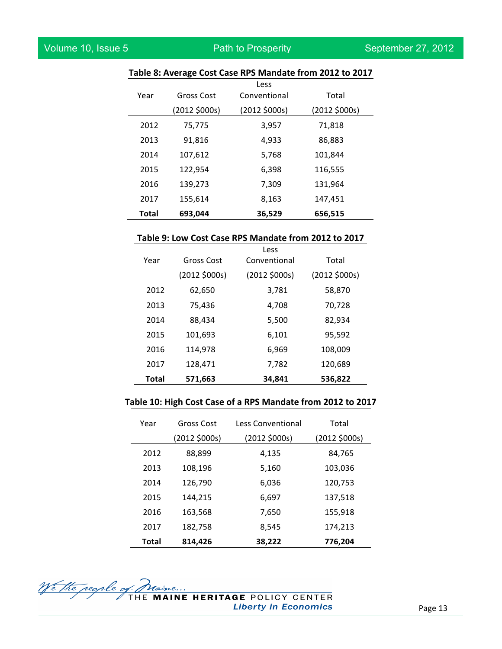#### Volume 10, Issue 5 **Path to Prosperity** September 27, 2012

#### Table 8: Average Cost Case RPS Mandate from 2012 to 2017

|       |               | Less          |               |
|-------|---------------|---------------|---------------|
| Year  | Gross Cost    | Conventional  | Total         |
|       | (2012, 5000s) | (2012 \$000s) | (2012 \$000s) |
| 2012  | 75,775        | 3,957         | 71,818        |
| 2013  | 91,816        | 4,933         | 86,883        |
| 2014  | 107,612       | 5,768         | 101,844       |
| 2015  | 122,954       | 6,398         | 116,555       |
| 2016  | 139,273       | 7,309         | 131,964       |
| 2017  | 155,614       | 8,163         | 147,451       |
| Total | 693.044       | 36,529        | 656,515       |

#### Table 9: Low Cost Case RPS Mandate from 2012 to 2017

| Year         | Gross Cost    | Less<br>Conventional | Total         |
|--------------|---------------|----------------------|---------------|
|              | (2012 \$000s) | (2012, 5000s)        | (2012 \$000s) |
| 2012         | 62.650        | 3,781                | 58,870        |
| 2013         | 75,436        | 4.708                | 70,728        |
| 2014         | 88.434        | 5,500                | 82,934        |
| 2015         | 101,693       | 6,101                | 95,592        |
| 2016         | 114,978       | 6,969                | 108,009       |
| 2017         | 128,471       | 7,782                | 120,689       |
| <b>Total</b> | 571,663       | 34.841               | 536,822       |

#### Table 10: High Cost Case of a RPS Mandate from 2012 to 2017

| Year         | Gross Cost    | Less Conventional | Total         |
|--------------|---------------|-------------------|---------------|
|              | (2012, 5000s) | (2012 \$000s)     | (2012, 5000s) |
| 2012         | 88,899        | 4,135             | 84,765        |
| 2013         | 108,196       | 5,160             | 103,036       |
| 2014         | 126,790       | 6,036             | 120,753       |
| 2015         | 144,215       | 6,697             | 137,518       |
| 2016         | 163,568       | 7,650             | 155,918       |
| 2017         | 182,758       | 8,545             | 174,213       |
| <b>Total</b> | 814,426       | 38,222            | 776.204       |

We the regale of Plaine...<br>THE MAINE HERITAGE POLICY CENTER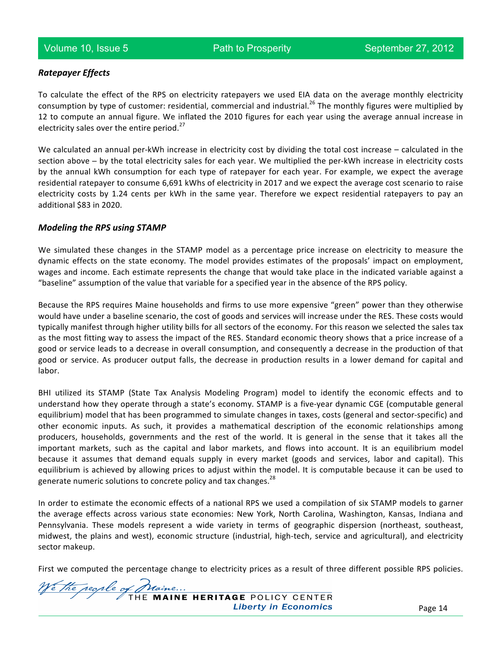#### *Ratepayer Effects*

To calculate the effect of the RPS on electricity ratepayers we used EIA data on the average monthly electricity consumption by type of customer: residential, commercial and industrial.<sup>26</sup> The monthly figures were multiplied by 12 to compute an annual figure. We inflated the 2010 figures for each year using the average annual increase in electricity sales over the entire period.<sup>27</sup>

We calculated an annual per-kWh increase in electricity cost by dividing the total cost increase  $-$  calculated in the section above – by the total electricity sales for each year. We multiplied the per-kWh increase in electricity costs by the annual kWh consumption for each type of ratepayer for each year. For example, we expect the average residential ratepayer to consume 6,691 kWhs of electricity in 2017 and we expect the average cost scenario to raise electricity costs by 1.24 cents per kWh in the same year. Therefore we expect residential ratepayers to pay an additional \$83 in 2020.

#### *Modeling the RPS using STAMP*

We simulated these changes in the STAMP model as a percentage price increase on electricity to measure the dynamic effects on the state economy. The model provides estimates of the proposals' impact on employment, wages and income. Each estimate represents the change that would take place in the indicated variable against a "baseline" assumption of the value that variable for a specified year in the absence of the RPS policy.

Because the RPS requires Maine households and firms to use more expensive "green" power than they otherwise would have under a baseline scenario, the cost of goods and services will increase under the RES. These costs would typically manifest through higher utility bills for all sectors of the economy. For this reason we selected the sales tax as the most fitting way to assess the impact of the RES. Standard economic theory shows that a price increase of a good or service leads to a decrease in overall consumption, and consequently a decrease in the production of that good or service. As producer output falls, the decrease in production results in a lower demand for capital and labor.

BHI utilized its STAMP (State Tax Analysis Modeling Program) model to identify the economic effects and to understand how they operate through a state's economy. STAMP is a five-year dynamic CGE (computable general equilibrium) model that has been programmed to simulate changes in taxes, costs (general and sector-specific) and other economic inputs. As such, it provides a mathematical description of the economic relationships among producers, households, governments and the rest of the world. It is general in the sense that it takes all the important markets, such as the capital and labor markets, and flows into account. It is an equilibrium model because it assumes that demand equals supply in every market (goods and services, labor and capital). This equilibrium is achieved by allowing prices to adjust within the model. It is computable because it can be used to generate numeric solutions to concrete policy and tax changes.<sup>28</sup>

In order to estimate the economic effects of a national RPS we used a compilation of six STAMP models to garner the average effects across various state economies: New York, North Carolina, Washington, Kansas, Indiana and Pennsylvania. These models represent a wide variety in terms of geographic dispersion (northeast, southeast, midwest, the plains and west), economic structure (industrial, high-tech, service and agricultural), and electricity sector makeup.

First we computed the percentage change to electricity prices as a result of three different possible RPS policies.

We the people of Maine...<br>THE MAINE HERITAGE POLICY CENTER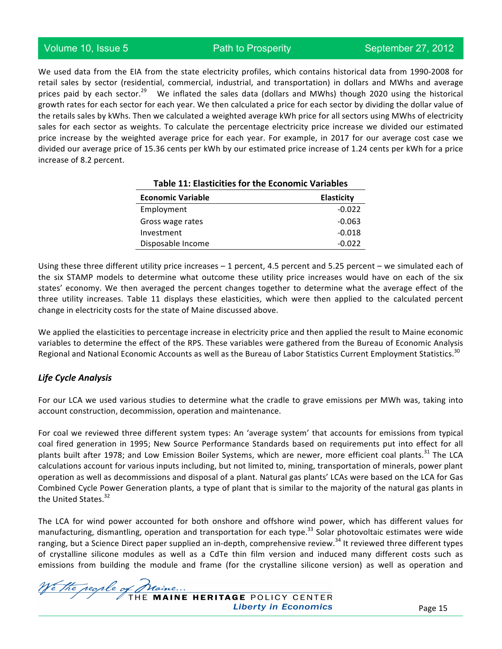We used data from the EIA from the state electricity profiles, which contains historical data from 1990-2008 for retail sales by sector (residential, commercial, industrial, and transportation) in dollars and MWhs and average prices paid by each sector.<sup>29</sup> We inflated the sales data (dollars and MWhs) though 2020 using the historical growth rates for each sector for each year. We then calculated a price for each sector by dividing the dollar value of the retails sales by kWhs. Then we calculated a weighted average kWh price for all sectors using MWhs of electricity sales for each sector as weights. To calculate the percentage electricity price increase we divided our estimated price increase by the weighted average price for each year. For example, in 2017 for our average cost case we divided our average price of 15.36 cents per kWh by our estimated price increase of 1.24 cents per kWh for a price increase of 8.2 percent.

| <b>Economic Variable</b> | <b>Elasticity</b> |
|--------------------------|-------------------|
| Employment               | $-0.022$          |
| Gross wage rates         | $-0.063$          |
| Investment               | $-0.018$          |
| Disposable Income        | $-0.022$          |

|  |  |  |  | <b>Table 11: Elasticities for the Economic Variables</b> |  |
|--|--|--|--|----------------------------------------------------------|--|
|  |  |  |  |                                                          |  |

Using these three different utility price increases  $-1$  percent, 4.5 percent and 5.25 percent  $-$  we simulated each of the six STAMP models to determine what outcome these utility price increases would have on each of the six states' economy. We then averaged the percent changes together to determine what the average effect of the three utility increases. Table 11 displays these elasticities, which were then applied to the calculated percent change in electricity costs for the state of Maine discussed above.

We applied the elasticities to percentage increase in electricity price and then applied the result to Maine economic variables to determine the effect of the RPS. These variables were gathered from the Bureau of Economic Analysis Regional and National Economic Accounts as well as the Bureau of Labor Statistics Current Employment Statistics.<sup>30</sup>

#### *Life Cycle Analysis*

For our LCA we used various studies to determine what the cradle to grave emissions per MWh was, taking into account construction, decommission, operation and maintenance.

For coal we reviewed three different system types: An 'average system' that accounts for emissions from typical coal fired generation in 1995; New Source Performance Standards based on requirements put into effect for all plants built after 1978; and Low Emission Boiler Systems, which are newer, more efficient coal plants.<sup>31</sup> The LCA calculations account for various inputs including, but not limited to, mining, transportation of minerals, power plant operation as well as decommissions and disposal of a plant. Natural gas plants' LCAs were based on the LCA for Gas Combined Cycle Power Generation plants, a type of plant that is similar to the majority of the natural gas plants in the United States. $32$ 

The LCA for wind power accounted for both onshore and offshore wind power, which has different values for manufacturing, dismantling, operation and transportation for each type.<sup>33</sup> Solar photovoltaic estimates were wide ranging, but a Science Direct paper supplied an in-depth, comprehensive review.<sup>34</sup> It reviewed three different types of crystalline silicone modules as well as a CdTe thin film version and induced many different costs such as emissions from building the module and frame (for the crystalline silicone version) as well as operation and

We the people of Praine...<br>THE MAINE HERITAGE POLICY CENTER **Liberty in Economics**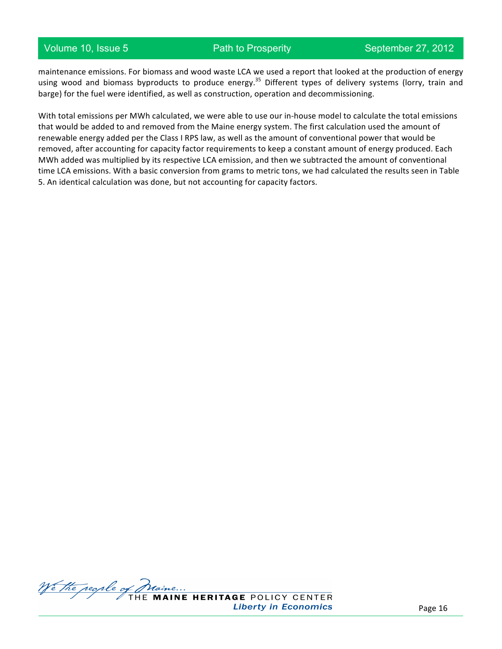maintenance emissions. For biomass and wood waste LCA we used a report that looked at the production of energy using wood and biomass byproducts to produce energy.<sup>35</sup> Different types of delivery systems (lorry, train and barge) for the fuel were identified, as well as construction, operation and decommissioning.

With total emissions per MWh calculated, we were able to use our in-house model to calculate the total emissions that would be added to and removed from the Maine energy system. The first calculation used the amount of renewable energy added per the Class I RPS law, as well as the amount of conventional power that would be removed, after accounting for capacity factor requirements to keep a constant amount of energy produced. Each MWh added was multiplied by its respective LCA emission, and then we subtracted the amount of conventional time LCA emissions. With a basic conversion from grams to metric tons, we had calculated the results seen in Table 5. An identical calculation was done, but not accounting for capacity factors.

We the people of Maine...<br>THE MAINE HERITAGE POLICY CENTER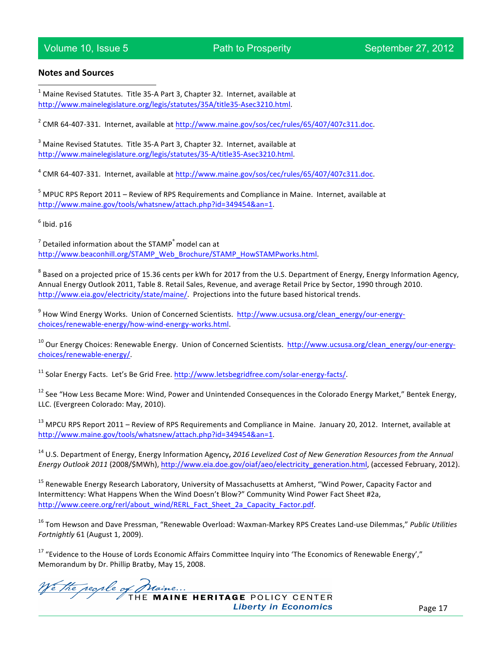#### Volume 10, Issue 5 **Path to Prosperity** September 27, 2012

#### **Notes and Sources**

 $<sup>1</sup>$  Maine Revised Statutes. Title 35-A Part 3, Chapter 32. Internet, available at</sup> http://www.mainelegislature.org/legis/statutes/35A/title35-Asec3210.html.

<sup>2</sup> CMR 64-407-331. Internet, available at http://www.maine.gov/sos/cec/rules/65/407/407c311.doc.

 $3$  Maine Revised Statutes. Title 35-A Part 3, Chapter 32. Internet, available at http://www.mainelegislature.org/legis/statutes/35-A/title35-Asec3210.html.

 $^4$  CMR 64-407-331. Internet, available at http://www.maine.gov/sos/cec/rules/65/407/407c311.doc.

 $<sup>5</sup>$  MPUC RPS Report 2011 – Review of RPS Requirements and Compliance in Maine. Internet, available at</sup> http://www.maine.gov/tools/whatsnew/attach.php?id=349454&an=1.

 $<sup>6</sup>$  Ibid. p16</sup>

 $7$  Detailed information about the STAMP $^{\degree}$  model can at http://www.beaconhill.org/STAMP\_Web\_Brochure/STAMP\_HowSTAMPworks.html.

 $8$  Based on a projected price of 15.36 cents per kWh for 2017 from the U.S. Department of Energy, Energy Information Agency, Annual Energy Outlook 2011, Table 8. Retail Sales, Revenue, and average Retail Price by Sector, 1990 through 2010. http://www.eia.gov/electricity/state/maine/. Projections into the future based historical trends.

<sup>9</sup> How Wind Energy Works. Union of Concerned Scientists. http://www.ucsusa.org/clean\_energy/our-energychoices/renewable-energy/how-wind-energy-works.html. 

<sup>10</sup> Our Energy Choices: Renewable Energy. Union of Concerned Scientists. http://www.ucsusa.org/clean\_energy/our-energychoices/renewable-energy/.

 $11$  Solar Energy Facts. Let's Be Grid Free. http://www.letsbegridfree.com/solar-energy-facts/.

 $12$  See "How Less Became More: Wind, Power and Unintended Consequences in the Colorado Energy Market," Bentek Energy, LLC. (Evergreen Colorado: May, 2010).

 $13$  MPCU RPS Report 2011 – Review of RPS Requirements and Compliance in Maine. January 20, 2012. Internet, available at http://www.maine.gov/tools/whatsnew/attach.php?id=349454&an=1.

<sup>14</sup> U.S. Department of Energy, Energy Information Agency, 2016 Levelized Cost of New Generation Resources from the Annual Energy Outlook 2011 (2008/\$MWh), http://www.eia.doe.gov/oiaf/aeo/electricity\_generation.html, (accessed February, 2012).

 $15$  Renewable Energy Research Laboratory, University of Massachusetts at Amherst, "Wind Power, Capacity Factor and Intermittency: What Happens When the Wind Doesn't Blow?" Community Wind Power Fact Sheet #2a, http://www.ceere.org/rerl/about\_wind/RERL\_Fact\_Sheet\_2a\_Capacity\_Factor.pdf.

<sup>16</sup> Tom Hewson and Dave Pressman, "Renewable Overload: Waxman-Markey RPS Creates Land-use Dilemmas," Public Utilities *Fortnightly* 61 (August 1, 2009).

 $17$  "Evidence to the House of Lords Economic Affairs Committee Inquiry into 'The Economics of Renewable Energy'," Memorandum by Dr. Phillip Bratby, May 15, 2008.

We the people of Maine...<br>THE MAINE HERITAGE POLICY CENTER **Liberty in Economics**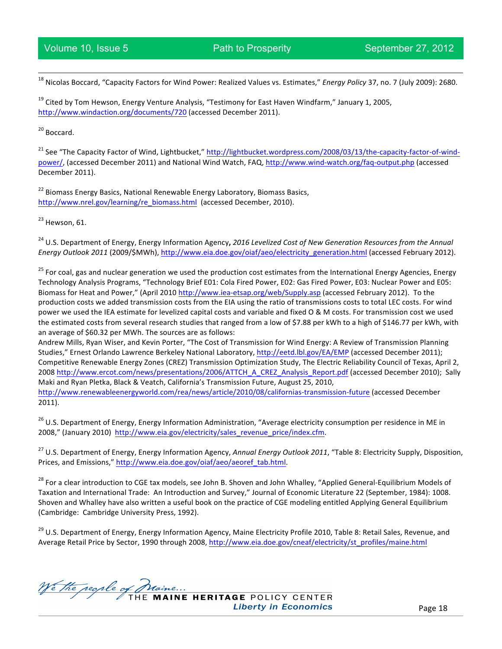<sup>18</sup> Nicolas Boccard, "Capacity Factors for Wind Power: Realized Values vs. Estimates," *Energy Policy* 37, no. 7 (July 2009): 2680.

 $19$  Cited by Tom Hewson, Energy Venture Analysis, "Testimony for East Haven Windfarm," January 1, 2005, http://www.windaction.org/documents/720 (accessed December 2011).

<sup>20</sup> Boccard.

<sup>21</sup> See "The Capacity Factor of Wind, Lightbucket," http://lightbucket.wordpress.com/2008/03/13/the-capacity-factor-of-windpower/, (accessed December 2011) and National Wind Watch, FAQ, http://www.wind-watch.org/faq-output.php (accessed December 2011).

 $22$  Biomass Energy Basics, National Renewable Energy Laboratory, Biomass Basics, http://www.nrel.gov/learning/re\_biomass.html (accessed December, 2010).

 $23$  Hewson, 61.

<sup>24</sup> U.S. Department of Energy, Energy Information Agency, 2016 Levelized Cost of New Generation Resources from the Annual Energy Outlook 2011 (2009/\$MWh), http://www.eia.doe.gov/oiaf/aeo/electricity\_generation.html (accessed February 2012).

<sup>25</sup> For coal, gas and nuclear generation we used the production cost estimates from the International Energy Agencies, Energy Technology Analysis Programs, "Technology Brief E01: Cola Fired Power, E02: Gas Fired Power, E03: Nuclear Power and E05: Biomass for Heat and Power," (April 2010 http://www.iea-etsap.org/web/Supply.asp (accessed February 2012). To the production costs we added transmission costs from the EIA using the ratio of transmissions costs to total LEC costs. For wind power we used the IEA estimate for levelized capital costs and variable and fixed O & M costs. For transmission cost we used the estimated costs from several research studies that ranged from a low of \$7.88 per kWh to a high of \$146.77 per kWh, with an average of \$60.32 per MWh. The sources are as follows:

Andrew Mills, Ryan Wiser, and Kevin Porter, "The Cost of Transmission for Wind Energy: A Review of Transmission Planning Studies," Ernest Orlando Lawrence Berkeley National Laboratory, http://eetd.lbl.gov/EA/EMP (accessed December 2011); Competitive Renewable Energy Zones (CREZ) Transmission Optimization Study, The Electric Reliability Council of Texas, April 2, 2008 http://www.ercot.com/news/presentations/2006/ATTCH\_A\_CREZ\_Analysis\_Report.pdf (accessed December 2010); Sally Maki and Ryan Pletka, Black & Veatch, California's Transmission Future, August 25, 2010, http://www.renewableenergyworld.com/rea/news/article/2010/08/californias-transmission-future (accessed December 2011).

<sup>26</sup> U.S. Department of Energy, Energy Information Administration, "Average electricity consumption per residence in ME in 2008," (January 2010) http://www.eia.gov/electricity/sales\_revenue\_price/index.cfm.

<sup>27</sup> U.S. Department of Energy, Energy Information Agency, *Annual Energy Outlook 2011*, "Table 8: Electricity Supply, Disposition, Prices, and Emissions," http://www.eia.doe.gov/oiaf/aeo/aeoref\_tab.html.

<sup>28</sup> For a clear introduction to CGE tax models, see John B. Shoven and John Whalley, "Applied General-Equilibrium Models of Taxation and International Trade: An Introduction and Survey," Journal of Economic Literature 22 (September, 1984): 1008. Shoven and Whalley have also written a useful book on the practice of CGE modeling entitled Applying General Equilibrium (Cambridge: Cambridge University Press, 1992).

<sup>29</sup> U.S. Department of Energy, Energy Information Agency, Maine Electricity Profile 2010, Table 8: Retail Sales, Revenue, and Average Retail Price by Sector, 1990 through 2008, http://www.eia.doe.gov/cneaf/electricity/st\_profiles/maine.html

We the people of Plaine...<br>THE MAINE HERITAGE POLICY CENTER **Liberty in Economics**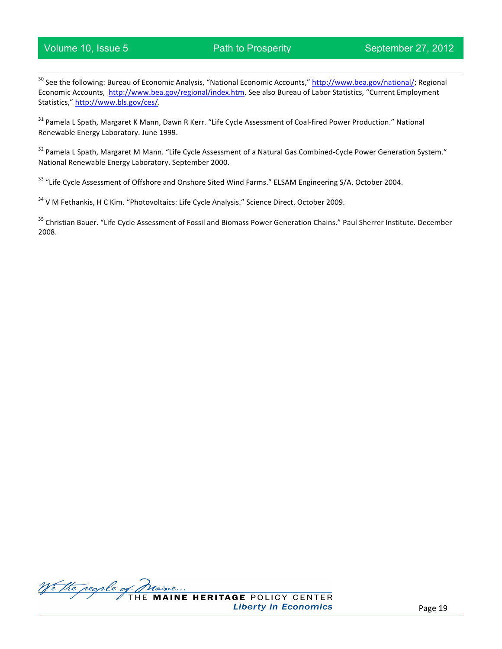<sup>30</sup> See the following: Bureau of Economic Analysis, "National Economic Accounts," http://www.bea.gov/national/; Regional Economic Accounts, http://www.bea.gov/regional/index.htm. See also Bureau of Labor Statistics, "Current Employment Statistics," http://www.bls.gov/ces/.

<sup>31</sup> Pamela L Spath, Margaret K Mann, Dawn R Kerr. "Life Cycle Assessment of Coal-fired Power Production." National Renewable Energy Laboratory. June 1999.

<sup>32</sup> Pamela L Spath, Margaret M Mann. "Life Cycle Assessment of a Natural Gas Combined-Cycle Power Generation System." National Renewable Energy Laboratory. September 2000.

<sup>33</sup> "Life Cycle Assessment of Offshore and Onshore Sited Wind Farms." ELSAM Engineering S/A. October 2004.

<sup>34</sup> V M Fethankis, H C Kim. "Photovoltaics: Life Cycle Analysis." Science Direct. October 2009.

<sup>35</sup> Christian Bauer. "Life Cycle Assessment of Fossil and Biomass Power Generation Chains." Paul Sherrer Institute. December 2008.

We the regule of Praine...<br>THE MAINE HERITAGE POLICY CENTER